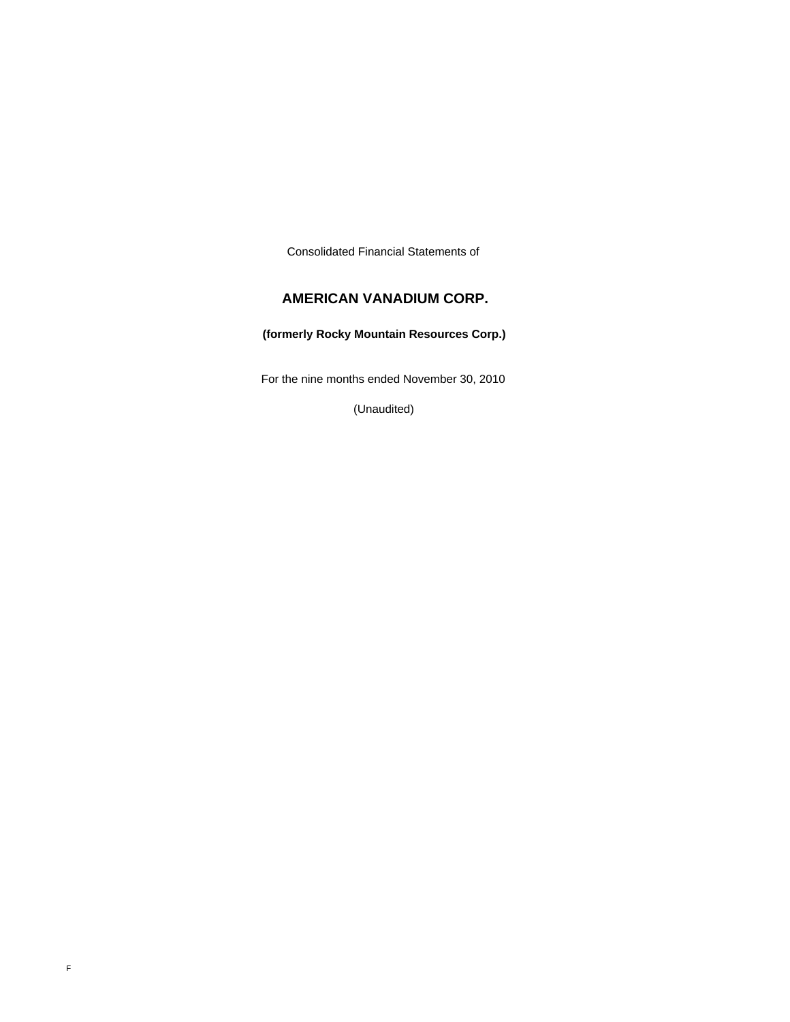Consolidated Financial Statements of

# **AMERICAN VANADIUM CORP.**

# **(formerly Rocky Mountain Resources Corp.)**

For the nine months ended November 30, 2010

(Unaudited)

F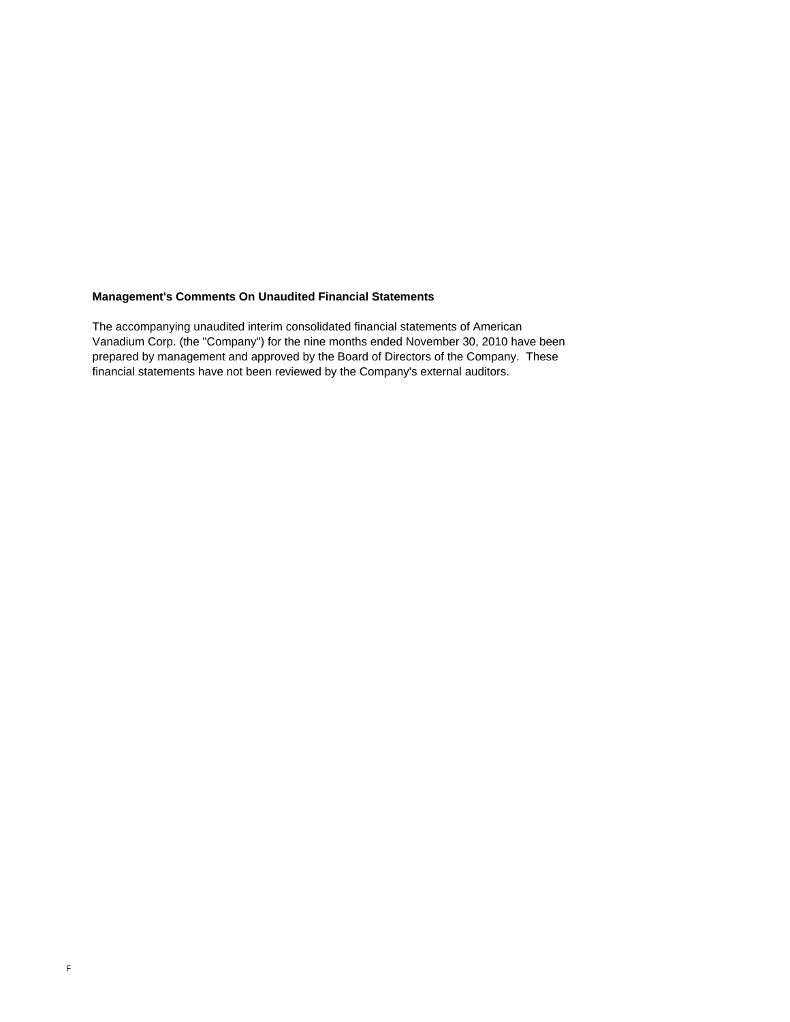### **Management's Comments On Unaudited Financial Statements**

The accompanying unaudited interim consolidated financial statements of American Vanadium Corp. (the "Company") for the nine months ended November 30, 2010 have been prepared by management and approved by the Board of Directors of the Company. These financial statements have not been reviewed by the Company's external auditors.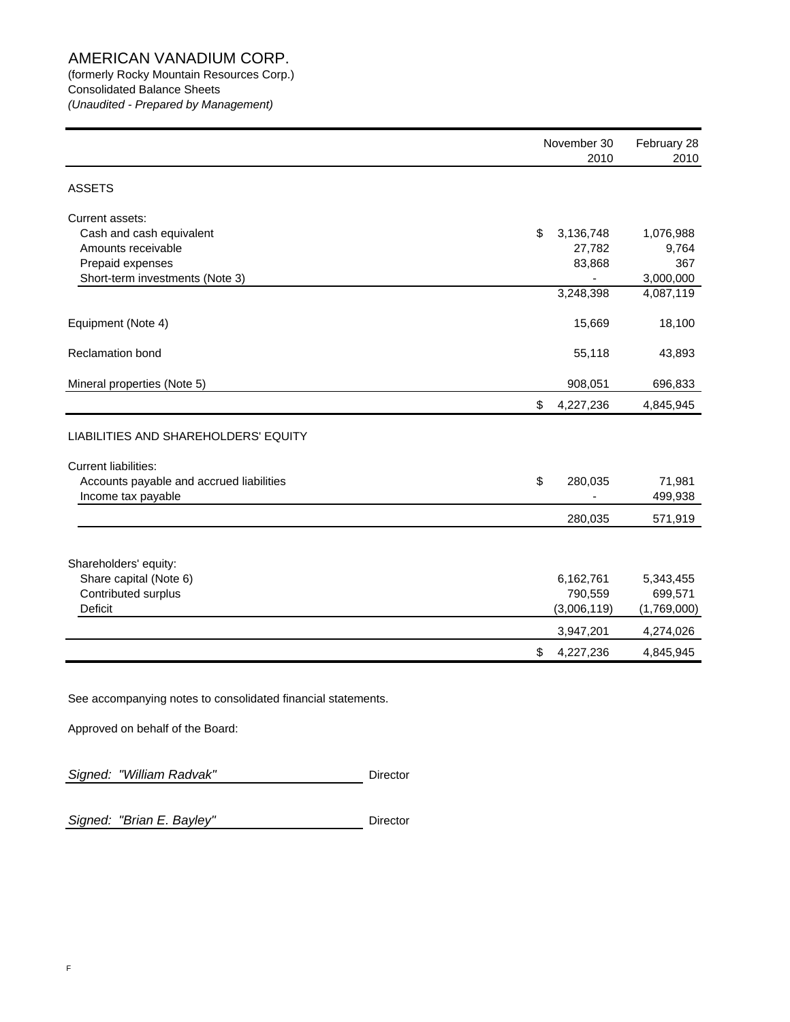(formerly Rocky Mountain Resources Corp.) Consolidated Balance Sheets *(Unaudited - Prepared by Management)*

|                                                                                                  | November 30<br>2010 | February 28<br>2010 |
|--------------------------------------------------------------------------------------------------|---------------------|---------------------|
| <b>ASSETS</b>                                                                                    |                     |                     |
| Current assets:<br>Cash and cash equivalent                                                      | \$<br>3,136,748     | 1,076,988           |
| Amounts receivable                                                                               | 27,782              | 9,764               |
| Prepaid expenses                                                                                 | 83,868              | 367                 |
| Short-term investments (Note 3)                                                                  |                     | 3,000,000           |
|                                                                                                  | 3,248,398           | 4,087,119           |
| Equipment (Note 4)                                                                               | 15,669              | 18,100              |
| Reclamation bond                                                                                 | 55,118              | 43,893              |
| Mineral properties (Note 5)                                                                      | 908,051             | 696,833             |
|                                                                                                  | \$<br>4,227,236     | 4,845,945           |
| LIABILITIES AND SHAREHOLDERS' EQUITY                                                             |                     |                     |
| <b>Current liabilities:</b>                                                                      |                     |                     |
| Accounts payable and accrued liabilities<br>Income tax payable                                   | \$<br>280,035       | 71,981<br>499,938   |
|                                                                                                  | 280,035             | 571,919             |
|                                                                                                  |                     |                     |
| Shareholders' equity:                                                                            |                     |                     |
| Share capital (Note 6)                                                                           | 6,162,761           | 5,343,455           |
| Contributed surplus                                                                              | 790,559             | 699,571             |
| <b>Deficit</b>                                                                                   | (3,006,119)         | (1,769,000)         |
|                                                                                                  | 3,947,201           | 4,274,026           |
|                                                                                                  | \$<br>4,227,236     | 4,845,945           |
| See accompanying notes to consolidated financial statements.<br>Approved on behalf of the Board: |                     |                     |
|                                                                                                  |                     |                     |

Signed: "William Radvak" **Director** 

**Signed: "Brian E. Bayley"** Director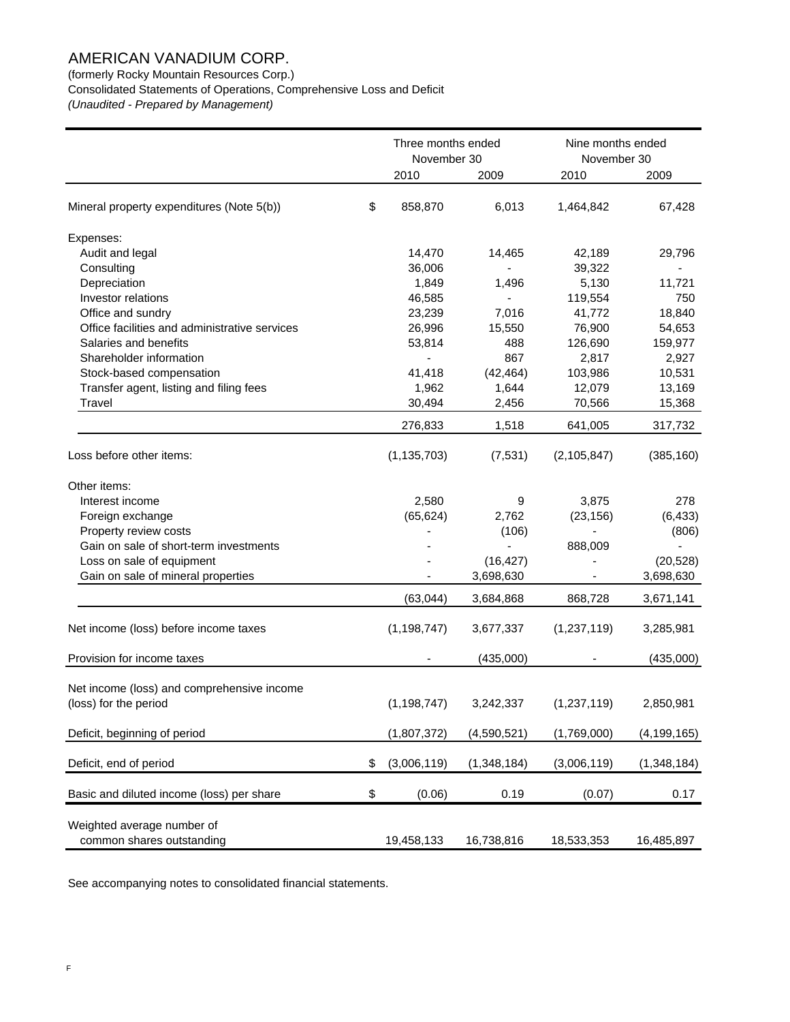(formerly Rocky Mountain Resources Corp.)

Consolidated Statements of Operations, Comprehensive Loss and Deficit

*(Unaudited - Prepared by Management)*

|                                               | Three months ended<br>November 30 |               | Nine months ended<br>November 30 |               |               |
|-----------------------------------------------|-----------------------------------|---------------|----------------------------------|---------------|---------------|
|                                               |                                   | 2010          | 2009                             | 2010          | 2009          |
| Mineral property expenditures (Note 5(b))     | \$                                | 858,870       | 6,013                            | 1,464,842     | 67,428        |
| Expenses:                                     |                                   |               |                                  |               |               |
| Audit and legal                               |                                   | 14,470        | 14,465                           | 42,189        | 29,796        |
| Consulting                                    |                                   | 36,006        |                                  | 39,322        |               |
| Depreciation                                  |                                   | 1,849         | 1,496                            | 5,130         | 11,721        |
| Investor relations                            |                                   | 46,585        |                                  | 119,554       | 750           |
| Office and sundry                             |                                   | 23,239        | 7,016                            | 41,772        | 18,840        |
| Office facilities and administrative services |                                   | 26,996        | 15,550                           | 76,900        | 54,653        |
| Salaries and benefits                         |                                   | 53,814        | 488                              | 126,690       | 159,977       |
| Shareholder information                       |                                   |               | 867                              | 2,817         | 2,927         |
| Stock-based compensation                      |                                   | 41,418        | (42, 464)                        | 103,986       | 10,531        |
| Transfer agent, listing and filing fees       |                                   | 1,962         | 1,644                            | 12,079        | 13,169        |
| Travel                                        |                                   | 30,494        | 2,456                            | 70,566        | 15,368        |
|                                               |                                   | 276,833       | 1,518                            | 641,005       | 317,732       |
| Loss before other items:                      |                                   | (1, 135, 703) | (7, 531)                         | (2, 105, 847) | (385, 160)    |
| Other items:                                  |                                   |               |                                  |               |               |
| Interest income                               |                                   | 2,580         | 9                                | 3,875         | 278           |
| Foreign exchange                              |                                   | (65, 624)     | 2,762                            | (23, 156)     | (6, 433)      |
| Property review costs                         |                                   |               | (106)                            |               | (806)         |
| Gain on sale of short-term investments        |                                   |               |                                  | 888,009       |               |
| Loss on sale of equipment                     |                                   |               | (16, 427)                        |               | (20, 528)     |
| Gain on sale of mineral properties            |                                   |               | 3,698,630                        |               | 3,698,630     |
|                                               |                                   | (63, 044)     | 3,684,868                        | 868,728       | 3,671,141     |
| Net income (loss) before income taxes         |                                   | (1, 198, 747) | 3,677,337                        | (1,237,119)   | 3,285,981     |
| Provision for income taxes                    |                                   |               | (435,000)                        |               | (435,000)     |
|                                               |                                   |               |                                  |               |               |
| Net income (loss) and comprehensive income    |                                   |               |                                  |               |               |
| (loss) for the period                         |                                   | (1, 198, 747) | 3,242,337                        | (1,237,119)   | 2,850,981     |
| Deficit, beginning of period                  |                                   | (1,807,372)   | (4,590,521)                      | (1,769,000)   | (4, 199, 165) |
| Deficit, end of period                        | \$                                | (3,006,119)   | (1,348,184)                      | (3,006,119)   | (1,348,184)   |
|                                               |                                   |               |                                  |               |               |
| Basic and diluted income (loss) per share     | \$                                | (0.06)        | 0.19                             | (0.07)        | 0.17          |
| Weighted average number of                    |                                   |               |                                  |               |               |
| common shares outstanding                     |                                   | 19,458,133    | 16,738,816                       | 18,533,353    | 16,485,897    |
|                                               |                                   |               |                                  |               |               |

See accompanying notes to consolidated financial statements.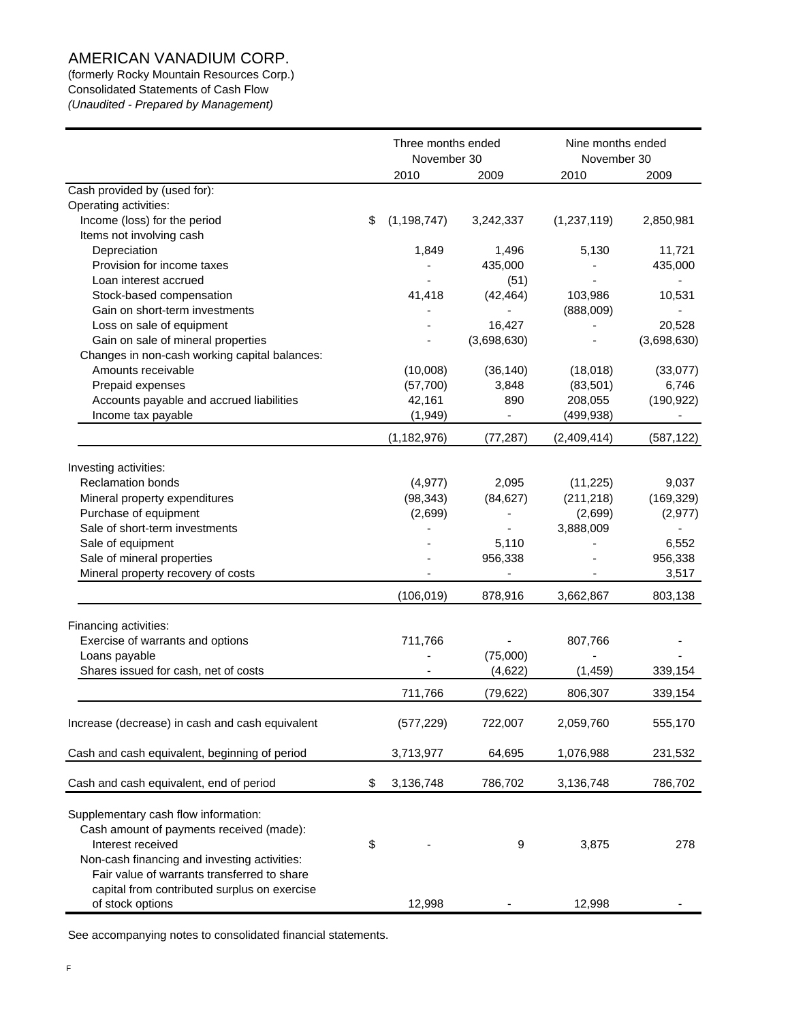(formerly Rocky Mountain Resources Corp.) Consolidated Statements of Cash Flow *(Unaudited - Prepared by Management)*

|                                                 | Three months ended<br>November 30 |             | Nine months ended<br>November 30 |             |
|-------------------------------------------------|-----------------------------------|-------------|----------------------------------|-------------|
|                                                 | 2010                              | 2009        | 2010                             | 2009        |
| Cash provided by (used for):                    |                                   |             |                                  |             |
| Operating activities:                           |                                   |             |                                  |             |
| Income (loss) for the period                    | \$<br>(1, 198, 747)               | 3,242,337   | (1,237,119)                      | 2,850,981   |
| Items not involving cash                        |                                   |             |                                  |             |
| Depreciation                                    | 1,849                             | 1,496       | 5,130                            | 11,721      |
| Provision for income taxes                      |                                   | 435,000     |                                  | 435,000     |
| Loan interest accrued                           |                                   | (51)        |                                  |             |
| Stock-based compensation                        | 41,418                            | (42, 464)   | 103,986                          | 10,531      |
| Gain on short-term investments                  |                                   |             | (888,009)                        |             |
| Loss on sale of equipment                       |                                   | 16,427      |                                  | 20,528      |
| Gain on sale of mineral properties              |                                   | (3,698,630) |                                  | (3,698,630) |
| Changes in non-cash working capital balances:   |                                   |             |                                  |             |
| Amounts receivable                              | (10,008)                          | (36, 140)   | (18,018)                         | (33,077)    |
| Prepaid expenses                                | (57,700)                          | 3,848       | (83, 501)                        | 6,746       |
| Accounts payable and accrued liabilities        | 42,161                            | 890         | 208,055                          | (190, 922)  |
| Income tax payable                              | (1,949)                           |             | (499, 938)                       |             |
|                                                 | (1, 182, 976)                     | (77, 287)   | (2,409,414)                      | (587, 122)  |
|                                                 |                                   |             |                                  |             |
| Investing activities:                           |                                   |             |                                  |             |
| <b>Reclamation bonds</b>                        | (4, 977)                          | 2,095       | (11, 225)                        | 9,037       |
| Mineral property expenditures                   | (98, 343)                         | (84, 627)   | (211, 218)                       | (169, 329)  |
| Purchase of equipment                           | (2,699)                           |             | (2,699)                          | (2, 977)    |
| Sale of short-term investments                  |                                   |             | 3,888,009                        |             |
| Sale of equipment                               |                                   | 5,110       |                                  | 6,552       |
| Sale of mineral properties                      |                                   | 956,338     |                                  | 956,338     |
| Mineral property recovery of costs              |                                   |             |                                  | 3,517       |
|                                                 | (106, 019)                        | 878,916     | 3,662,867                        | 803,138     |
| Financing activities:                           |                                   |             |                                  |             |
| Exercise of warrants and options                | 711,766                           |             | 807,766                          |             |
| Loans payable                                   |                                   | (75,000)    |                                  |             |
| Shares issued for cash, net of costs            |                                   | (4,622)     | (1, 459)                         | 339,154     |
|                                                 | 711,766                           | (79, 622)   | 806,307                          | 339,154     |
|                                                 |                                   | 722,007     |                                  |             |
| Increase (decrease) in cash and cash equivalent | (577, 229)                        |             | 2,059,760                        | 555,170     |
| Cash and cash equivalent, beginning of period   | 3,713,977                         | 64,695      | 1,076,988                        | 231,532     |
| Cash and cash equivalent, end of period         | \$<br>3,136,748                   | 786,702     | 3,136,748                        | 786,702     |
|                                                 |                                   |             |                                  |             |
| Supplementary cash flow information:            |                                   |             |                                  |             |
| Cash amount of payments received (made):        |                                   |             |                                  |             |
| Interest received                               | \$                                | 9           | 3,875                            | 278         |
| Non-cash financing and investing activities:    |                                   |             |                                  |             |
| Fair value of warrants transferred to share     |                                   |             |                                  |             |
| capital from contributed surplus on exercise    |                                   |             |                                  |             |
| of stock options                                | 12,998                            |             | 12,998                           |             |

See accompanying notes to consolidated financial statements.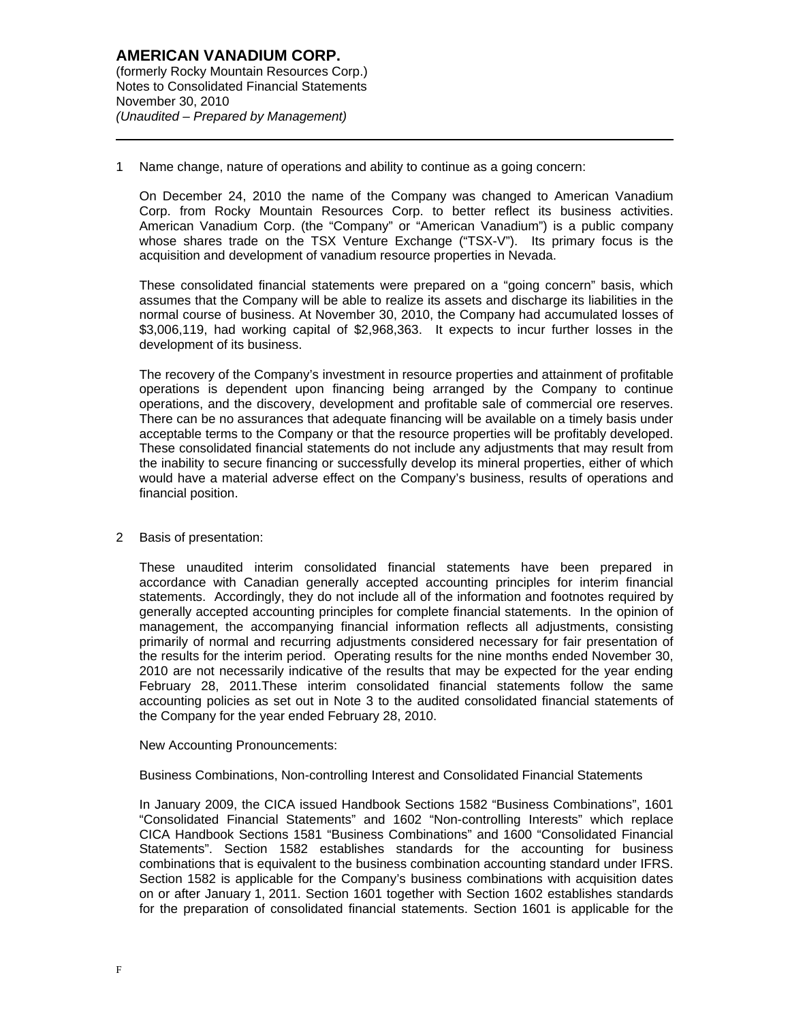$\overline{a}$ 

1 Name change, nature of operations and ability to continue as a going concern:

On December 24, 2010 the name of the Company was changed to American Vanadium Corp. from Rocky Mountain Resources Corp. to better reflect its business activities. American Vanadium Corp. (the "Company" or "American Vanadium") is a public company whose shares trade on the TSX Venture Exchange ("TSX-V"). Its primary focus is the acquisition and development of vanadium resource properties in Nevada.

These consolidated financial statements were prepared on a "going concern" basis, which assumes that the Company will be able to realize its assets and discharge its liabilities in the normal course of business. At November 30, 2010, the Company had accumulated losses of \$3,006,119, had working capital of \$2,968,363. It expects to incur further losses in the development of its business.

The recovery of the Company's investment in resource properties and attainment of profitable operations is dependent upon financing being arranged by the Company to continue operations, and the discovery, development and profitable sale of commercial ore reserves. There can be no assurances that adequate financing will be available on a timely basis under acceptable terms to the Company or that the resource properties will be profitably developed. These consolidated financial statements do not include any adjustments that may result from the inability to secure financing or successfully develop its mineral properties, either of which would have a material adverse effect on the Company's business, results of operations and financial position.

2 Basis of presentation:

These unaudited interim consolidated financial statements have been prepared in accordance with Canadian generally accepted accounting principles for interim financial statements. Accordingly, they do not include all of the information and footnotes required by generally accepted accounting principles for complete financial statements. In the opinion of management, the accompanying financial information reflects all adjustments, consisting primarily of normal and recurring adjustments considered necessary for fair presentation of the results for the interim period. Operating results for the nine months ended November 30, 2010 are not necessarily indicative of the results that may be expected for the year ending February 28, 2011.These interim consolidated financial statements follow the same accounting policies as set out in Note 3 to the audited consolidated financial statements of the Company for the year ended February 28, 2010.

#### New Accounting Pronouncements:

Business Combinations, Non-controlling Interest and Consolidated Financial Statements

In January 2009, the CICA issued Handbook Sections 1582 "Business Combinations", 1601 "Consolidated Financial Statements" and 1602 "Non-controlling Interests" which replace CICA Handbook Sections 1581 "Business Combinations" and 1600 "Consolidated Financial Statements". Section 1582 establishes standards for the accounting for business combinations that is equivalent to the business combination accounting standard under IFRS. Section 1582 is applicable for the Company's business combinations with acquisition dates on or after January 1, 2011. Section 1601 together with Section 1602 establishes standards for the preparation of consolidated financial statements. Section 1601 is applicable for the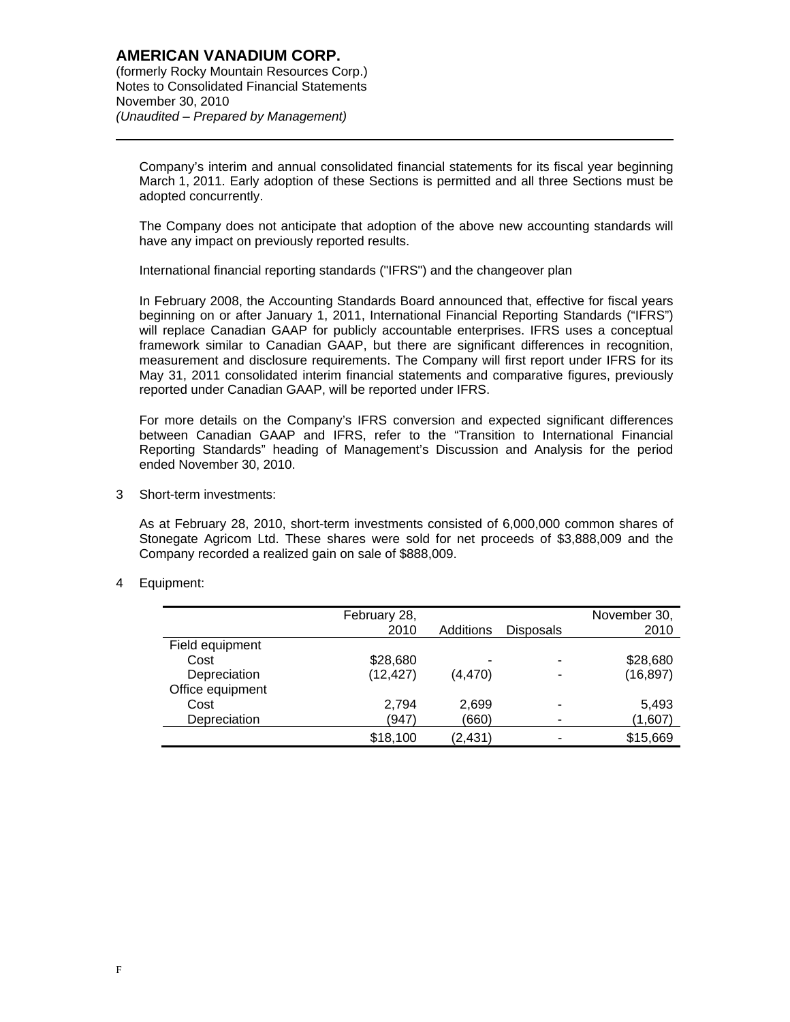$\overline{a}$ 

Company's interim and annual consolidated financial statements for its fiscal year beginning March 1, 2011. Early adoption of these Sections is permitted and all three Sections must be adopted concurrently.

The Company does not anticipate that adoption of the above new accounting standards will have any impact on previously reported results.

International financial reporting standards ("IFRS") and the changeover plan

In February 2008, the Accounting Standards Board announced that, effective for fiscal years beginning on or after January 1, 2011, International Financial Reporting Standards ("IFRS") will replace Canadian GAAP for publicly accountable enterprises. IFRS uses a conceptual framework similar to Canadian GAAP, but there are significant differences in recognition, measurement and disclosure requirements. The Company will first report under IFRS for its May 31, 2011 consolidated interim financial statements and comparative figures, previously reported under Canadian GAAP, will be reported under IFRS.

For more details on the Company's IFRS conversion and expected significant differences between Canadian GAAP and IFRS, refer to the "Transition to International Financial Reporting Standards" heading of Management's Discussion and Analysis for the period ended November 30, 2010.

3 Short-term investments:

As at February 28, 2010, short-term investments consisted of 6,000,000 common shares of Stonegate Agricom Ltd. These shares were sold for net proceeds of \$3,888,009 and the Company recorded a realized gain on sale of \$888,009.

4 Equipment:

|                  | February 28, |           |                  | November 30, |
|------------------|--------------|-----------|------------------|--------------|
|                  | 2010         | Additions | <b>Disposals</b> | 2010         |
| Field equipment  |              |           |                  |              |
| Cost             | \$28,680     | -         |                  | \$28,680     |
| Depreciation     | (12, 427)    | (4, 470)  |                  | (16, 897)    |
| Office equipment |              |           |                  |              |
| Cost             | 2,794        | 2,699     |                  | 5,493        |
| Depreciation     | (947)        | (660)     | -                | (1,607)      |
|                  | \$18,100     | (2, 431)  |                  | \$15,669     |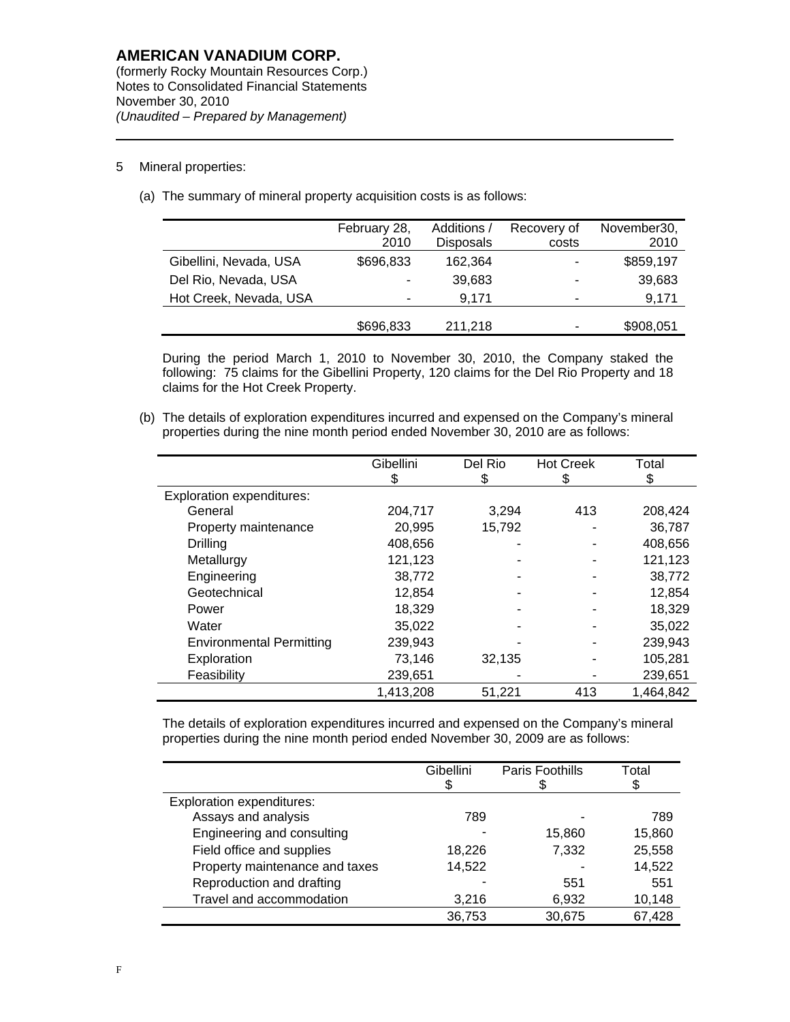### 5 Mineral properties:

 $\overline{a}$ 

(a) The summary of mineral property acquisition costs is as follows:

|                        | February 28,<br>2010 | Additions /<br><b>Disposals</b> | Recovery of<br>costs | November30,<br>2010 |
|------------------------|----------------------|---------------------------------|----------------------|---------------------|
| Gibellini, Nevada, USA | \$696,833            | 162,364                         | -                    | \$859,197           |
| Del Rio, Nevada, USA   | ٠                    | 39,683                          | ٠                    | 39,683              |
| Hot Creek, Nevada, USA | -                    | 9.171                           | -                    | 9,171               |
|                        | \$696,833            | 211,218                         | ۰                    | \$908,051           |

During the period March 1, 2010 to November 30, 2010, the Company staked the following: 75 claims for the Gibellini Property, 120 claims for the Del Rio Property and 18 claims for the Hot Creek Property.

(b) The details of exploration expenditures incurred and expensed on the Company's mineral properties during the nine month period ended November 30, 2010 are as follows:

|                                  | Gibellini | Del Rio | <b>Hot Creek</b> | Total     |
|----------------------------------|-----------|---------|------------------|-----------|
|                                  | S         | 35      | Ъ                | \$        |
| <b>Exploration expenditures:</b> |           |         |                  |           |
| General                          | 204,717   | 3,294   | 413              | 208,424   |
| Property maintenance             | 20,995    | 15,792  |                  | 36,787    |
| Drilling                         | 408,656   |         |                  | 408,656   |
| Metallurgy                       | 121,123   |         | ۰                | 121,123   |
| Engineering                      | 38,772    |         |                  | 38,772    |
| Geotechnical                     | 12,854    |         |                  | 12,854    |
| Power                            | 18.329    |         |                  | 18,329    |
| Water                            | 35,022    |         |                  | 35,022    |
| <b>Environmental Permitting</b>  | 239,943   |         |                  | 239,943   |
| Exploration                      | 73,146    | 32,135  |                  | 105,281   |
| Feasibility                      | 239,651   |         |                  | 239,651   |
|                                  | 1,413,208 | 51.221  | 413              | 1,464,842 |

The details of exploration expenditures incurred and expensed on the Company's mineral properties during the nine month period ended November 30, 2009 are as follows:

|                                  | Gibellini | Paris Foothills | Total<br>S |
|----------------------------------|-----------|-----------------|------------|
| <b>Exploration expenditures:</b> |           |                 |            |
| Assays and analysis              | 789       |                 | 789        |
| Engineering and consulting       |           | 15,860          | 15,860     |
| Field office and supplies        | 18,226    | 7,332           | 25,558     |
| Property maintenance and taxes   | 14,522    |                 | 14,522     |
| Reproduction and drafting        |           | 551             | 551        |
| Travel and accommodation         | 3,216     | 6,932           | 10,148     |
|                                  | 36,753    | 30,675          | 67,428     |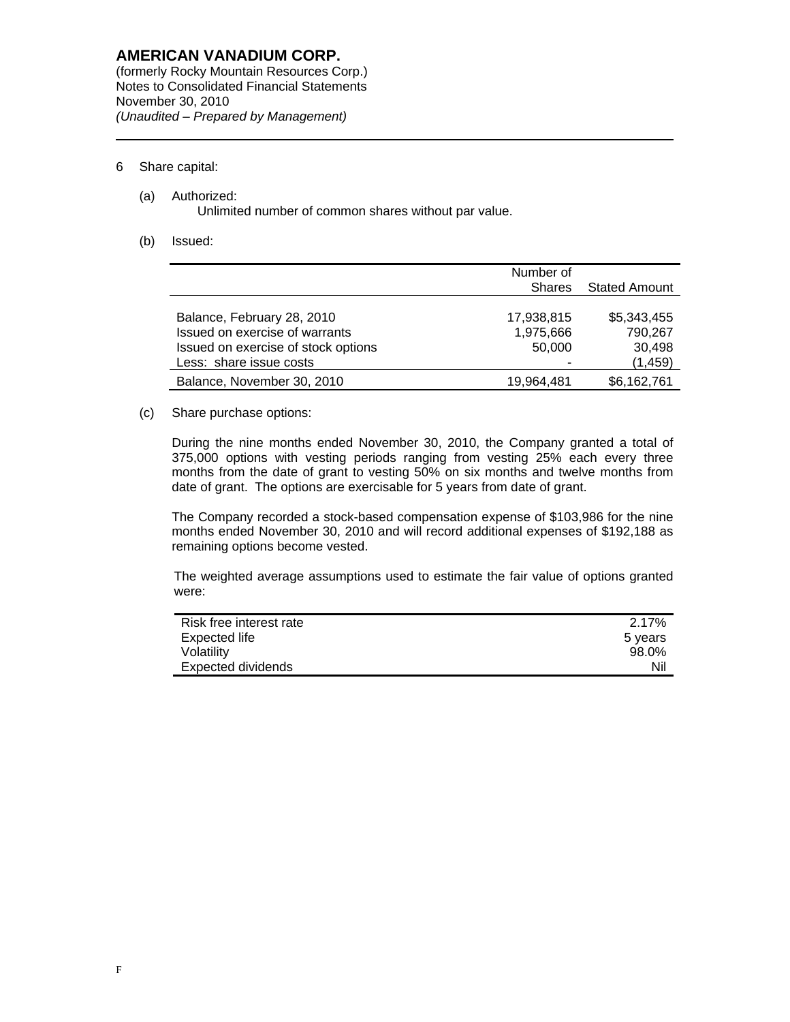(formerly Rocky Mountain Resources Corp.)Notes to Consolidated Financial Statements November 30, 2010 *(Unaudited – Prepared by Management)* 

## 6 Share capital:

 $\overline{a}$ 

- (a) Authorized: Unlimited number of common shares without par value.
- (b) Issued:

|                                     | Number of                             |             |
|-------------------------------------|---------------------------------------|-------------|
|                                     | <b>Stated Amount</b><br><b>Shares</b> |             |
|                                     |                                       |             |
| Balance, February 28, 2010          | 17,938,815                            | \$5,343,455 |
| Issued on exercise of warrants      | 1,975,666                             | 790,267     |
| Issued on exercise of stock options | 50,000                                | 30,498      |
| Less: share issue costs             |                                       | (1, 459)    |
| Balance, November 30, 2010          | 19.964.481                            | \$6,162,761 |

## (c) Share purchase options:

During the nine months ended November 30, 2010, the Company granted a total of 375,000 options with vesting periods ranging from vesting 25% each every three months from the date of grant to vesting 50% on six months and twelve months from date of grant. The options are exercisable for 5 years from date of grant.

The Company recorded a stock-based compensation expense of \$103,986 for the nine months ended November 30, 2010 and will record additional expenses of \$192,188 as remaining options become vested.

The weighted average assumptions used to estimate the fair value of options granted were:

| Risk free interest rate | 2.17%   |
|-------------------------|---------|
| Expected life           | 5 years |
| Volatility              | 98.0%   |
| Expected dividends      | Nil     |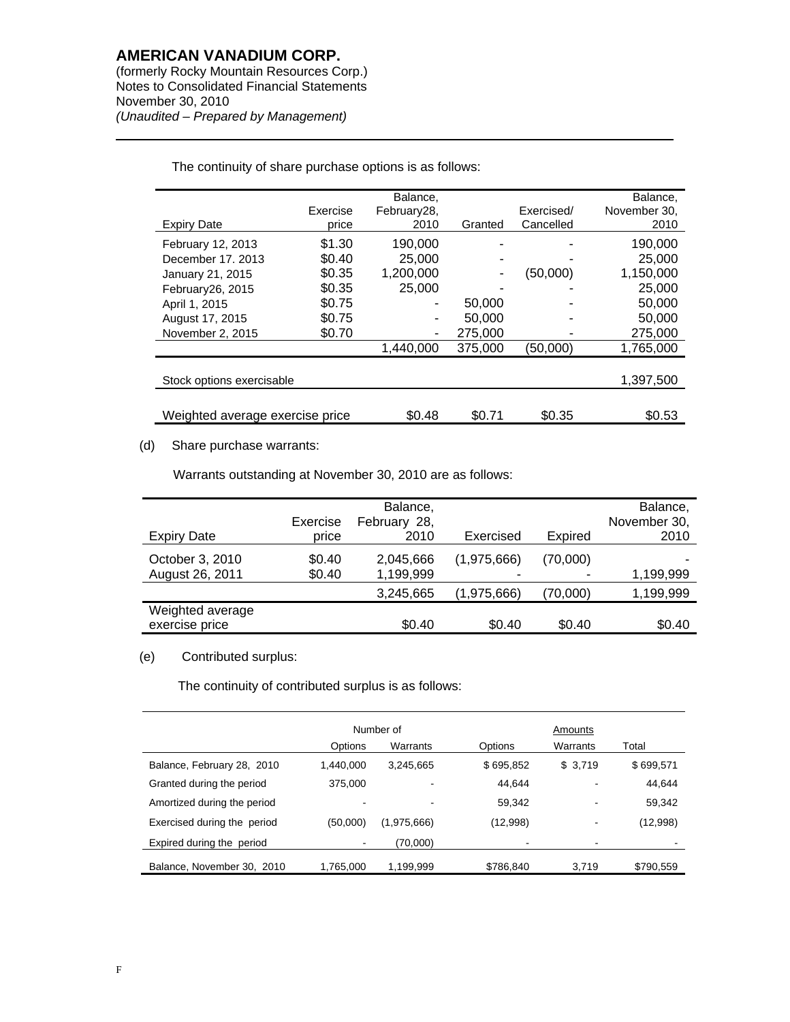$\overline{a}$ 

(formerly Rocky Mountain Resources Corp.)Notes to Consolidated Financial Statements November 30, 2010 *(Unaudited – Prepared by Management)* 

|                                 |          | Balance,    |         |            | Balance,     |
|---------------------------------|----------|-------------|---------|------------|--------------|
|                                 | Exercise | February28, |         | Exercised/ | November 30, |
| <b>Expiry Date</b>              | price    | 2010        | Granted | Cancelled  | 2010         |
| February 12, 2013               | \$1.30   | 190,000     |         |            | 190,000      |
| December 17, 2013               | \$0.40   | 25,000      |         |            | 25,000       |
| January 21, 2015                | \$0.35   | 1,200,000   |         | (50,000)   | 1,150,000    |
| February 26, 2015               | \$0.35   | 25,000      |         |            | 25,000       |
| April 1, 2015                   | \$0.75   |             | 50,000  |            | 50,000       |
| August 17, 2015                 | \$0.75   |             | 50,000  |            | 50,000       |
| November 2, 2015                | \$0.70   |             | 275,000 |            | 275,000      |
|                                 |          | 1,440,000   | 375,000 | (50,000)   | 1,765,000    |
|                                 |          |             |         |            |              |
| Stock options exercisable       |          |             |         |            | 1,397,500    |
|                                 |          |             |         |            |              |
| Weighted average exercise price |          | \$0.48      | \$0.71  | \$0.35     | \$0.53       |
|                                 |          |             |         |            |              |

The continuity of share purchase options is as follows:

## (d) Share purchase warrants:

Warrants outstanding at November 30, 2010 are as follows:

| <b>Expiry Date</b>                 | Exercise<br>price | Balance,<br>February 28,<br>2010 | Exercised                               | Expired  | Balance,<br>November 30,<br>2010 |
|------------------------------------|-------------------|----------------------------------|-----------------------------------------|----------|----------------------------------|
| October 3, 2010<br>August 26, 2011 | \$0.40<br>\$0.40  | 2,045,666<br>1,199,999           | (1,975,666)<br>$\overline{\phantom{0}}$ | (70,000) | 1,199,999                        |
|                                    |                   | 3,245,665                        | (1,975,666)                             | 70,000)  | 1,199,999                        |
| Weighted average<br>exercise price |                   | \$0.40                           | \$0.40                                  | \$0.40   | \$0.40                           |

## (e) Contributed surplus:

The continuity of contributed surplus is as follows:

|                             | Number of      |             |           | Amounts  |           |
|-----------------------------|----------------|-------------|-----------|----------|-----------|
|                             | Options        | Warrants    | Options   | Warrants | Total     |
| Balance, February 28, 2010  | 1,440,000      | 3,245,665   | \$695,852 | \$3,719  | \$699,571 |
| Granted during the period   | 375,000        |             | 44.644    |          | 44,644    |
| Amortized during the period |                |             | 59.342    | -        | 59,342    |
| Exercised during the period | (50,000)       | (1,975,666) | (12,998)  | -        | (12,998)  |
| Expired during the period   | $\blacksquare$ | (70,000)    |           |          |           |
| Balance, November 30, 2010  | 1,765,000      | 1,199,999   | \$786,840 | 3,719    | \$790,559 |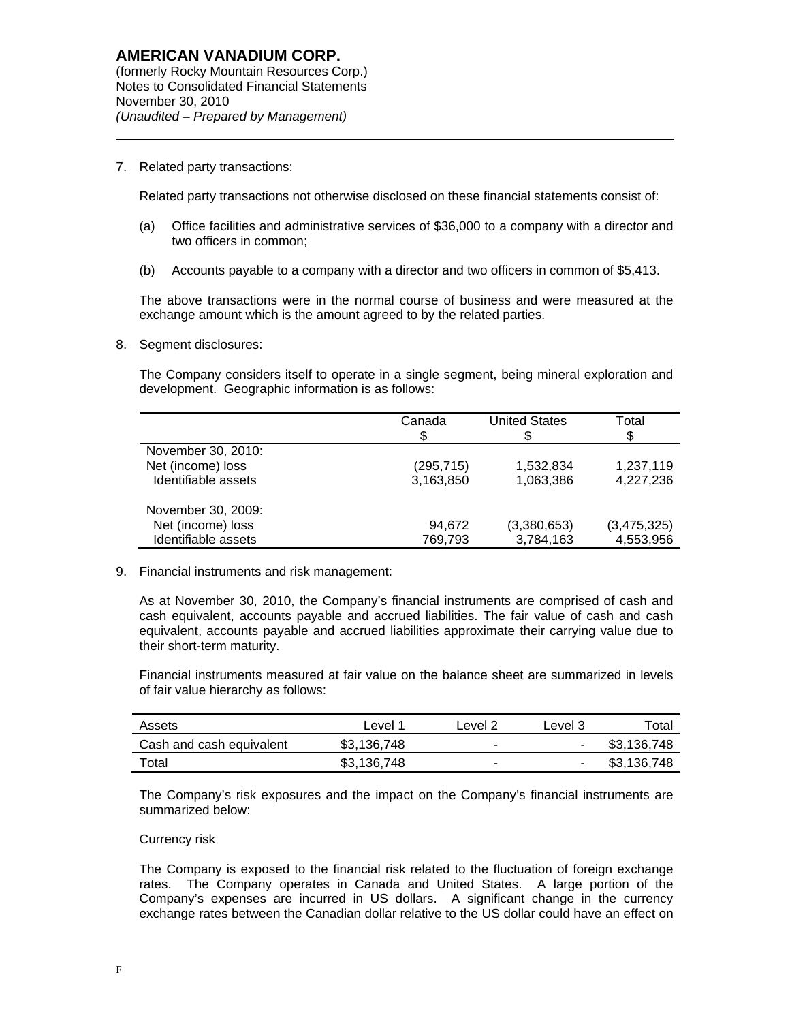7. Related party transactions:

 $\overline{a}$ 

Related party transactions not otherwise disclosed on these financial statements consist of:

- (a) Office facilities and administrative services of \$36,000 to a company with a director and two officers in common;
- (b) Accounts payable to a company with a director and two officers in common of \$5,413.

The above transactions were in the normal course of business and were measured at the exchange amount which is the amount agreed to by the related parties.

8. Segment disclosures:

The Company considers itself to operate in a single segment, being mineral exploration and development. Geographic information is as follows:

|                     | Canada<br>\$ | <b>United States</b> | Total<br>\$ |
|---------------------|--------------|----------------------|-------------|
| November 30, 2010:  |              |                      |             |
| Net (income) loss   | (295,715)    | 1,532,834            | 1,237,119   |
| Identifiable assets | 3,163,850    | 1,063,386            | 4,227,236   |
| November 30, 2009:  |              |                      |             |
| Net (income) loss   | 94,672       | (3,380,653)          | (3,475,325) |
| Identifiable assets | 769,793      | 3,784,163            | 4,553,956   |

9. Financial instruments and risk management:

As at November 30, 2010, the Company's financial instruments are comprised of cash and cash equivalent, accounts payable and accrued liabilities. The fair value of cash and cash equivalent, accounts payable and accrued liabilities approximate their carrying value due to their short-term maturity.

Financial instruments measured at fair value on the balance sheet are summarized in levels of fair value hierarchy as follows:

| Assets                   | ∟evel <sup>1</sup> | _evel 2                  | Level 3                  | $\tau$ otal |
|--------------------------|--------------------|--------------------------|--------------------------|-------------|
| Cash and cash equivalent | \$3,136,748        | $\overline{\phantom{0}}$ | ٠                        | \$3,136,748 |
| Total                    | \$3,136,748        | $\overline{\phantom{a}}$ | $\overline{\phantom{a}}$ | \$3,136,748 |

The Company's risk exposures and the impact on the Company's financial instruments are summarized below:

### Currency risk

The Company is exposed to the financial risk related to the fluctuation of foreign exchange rates. The Company operates in Canada and United States. A large portion of the Company's expenses are incurred in US dollars. A significant change in the currency exchange rates between the Canadian dollar relative to the US dollar could have an effect on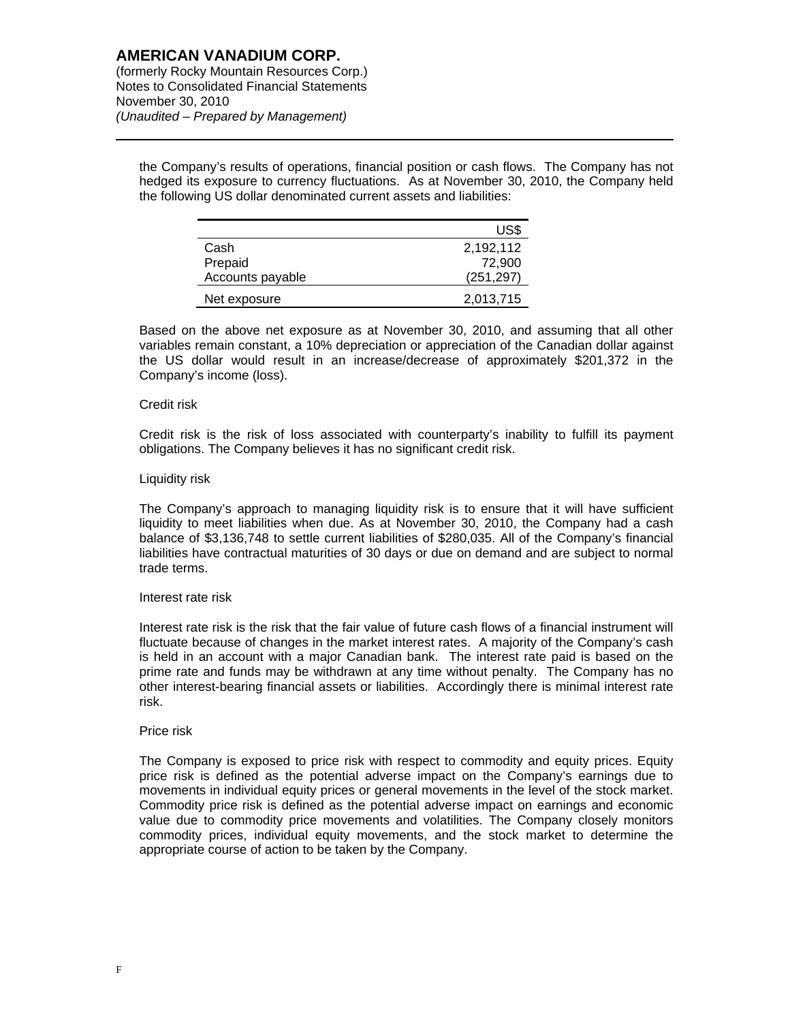the Company's results of operations, financial position or cash flows. The Company has not hedged its exposure to currency fluctuations. As at November 30, 2010, the Company held the following US dollar denominated current assets and liabilities:

|                  | US\$       |
|------------------|------------|
| Cash             | 2,192,112  |
| Prepaid          | 72.900     |
| Accounts payable | (251, 297) |
| Net exposure     | 2,013,715  |

Based on the above net exposure as at November 30, 2010, and assuming that all other variables remain constant, a 10% depreciation or appreciation of the Canadian dollar against the US dollar would result in an increase/decrease of approximately \$201,372 in the Company's income (loss).

### Credit risk

 $\overline{a}$ 

Credit risk is the risk of loss associated with counterparty's inability to fulfill its payment obligations. The Company believes it has no significant credit risk.

### Liquidity risk

The Company's approach to managing liquidity risk is to ensure that it will have sufficient liquidity to meet liabilities when due. As at November 30, 2010, the Company had a cash balance of \$3,136,748 to settle current liabilities of \$280,035. All of the Company's financial liabilities have contractual maturities of 30 days or due on demand and are subject to normal trade terms.

#### Interest rate risk

Interest rate risk is the risk that the fair value of future cash flows of a financial instrument will fluctuate because of changes in the market interest rates. A majority of the Company's cash is held in an account with a major Canadian bank. The interest rate paid is based on the prime rate and funds may be withdrawn at any time without penalty. The Company has no other interest-bearing financial assets or liabilities. Accordingly there is minimal interest rate risk.

### Price risk

The Company is exposed to price risk with respect to commodity and equity prices. Equity price risk is defined as the potential adverse impact on the Company's earnings due to movements in individual equity prices or general movements in the level of the stock market. Commodity price risk is defined as the potential adverse impact on earnings and economic value due to commodity price movements and volatilities. The Company closely monitors commodity prices, individual equity movements, and the stock market to determine the appropriate course of action to be taken by the Company.